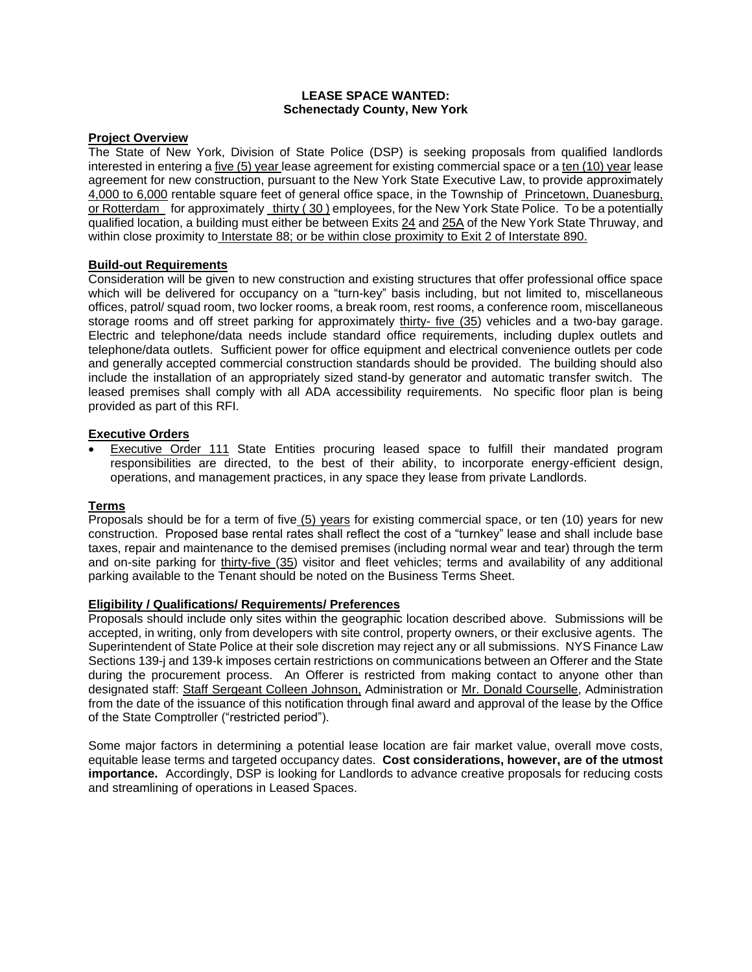#### **LEASE SPACE WANTED: Schenectady County, New York**

#### **Project Overview**

The State of New York, Division of State Police (DSP) is seeking proposals from qualified landlords interested in entering a five (5) year lease agreement for existing commercial space or a ten (10) year lease agreement for new construction, pursuant to the New York State Executive Law, to provide approximately 4,000 to 6,000 rentable square feet of general office space, in the Township of Princetown, Duanesburg, or Rotterdam for approximately thirty (30) employees, for the New York State Police. To be a potentially qualified location, a building must either be between Exits 24 and 25A of the New York State Thruway, and within close proximity to Interstate 88; or be within close proximity to Exit 2 of Interstate 890.

### **Build-out Requirements**

Consideration will be given to new construction and existing structures that offer professional office space which will be delivered for occupancy on a "turn-key" basis including, but not limited to, miscellaneous offices, patrol/ squad room, two locker rooms, a break room, rest rooms, a conference room, miscellaneous storage rooms and off street parking for approximately thirty- five (35) vehicles and a two-bay garage. Electric and telephone/data needs include standard office requirements, including duplex outlets and telephone/data outlets. Sufficient power for office equipment and electrical convenience outlets per code and generally accepted commercial construction standards should be provided. The building should also include the installation of an appropriately sized stand-by generator and automatic transfer switch. The leased premises shall comply with all ADA accessibility requirements. No specific floor plan is being provided as part of this RFI.

# **Executive Orders**

• Executive Order 111 State Entities procuring leased space to fulfill their mandated program responsibilities are directed, to the best of their ability, to incorporate energy-efficient design, operations, and management practices, in any space they lease from private Landlords.

#### **Terms**

Proposals should be for a term of five (5) years for existing commercial space, or ten (10) years for new construction. Proposed base rental rates shall reflect the cost of a "turnkey" lease and shall include base taxes, repair and maintenance to the demised premises (including normal wear and tear) through the term and on-site parking for thirty-five (35) visitor and fleet vehicles; terms and availability of any additional parking available to the Tenant should be noted on the Business Terms Sheet.

#### **Eligibility / Qualifications/ Requirements/ Preferences**

Proposals should include only sites within the geographic location described above. Submissions will be accepted, in writing, only from developers with site control, property owners, or their exclusive agents. The Superintendent of State Police at their sole discretion may reject any or all submissions. NYS Finance Law Sections 139-j and 139-k imposes certain restrictions on communications between an Offerer and the State during the procurement process. An Offerer is restricted from making contact to anyone other than designated staff: Staff Sergeant Colleen Johnson, Administration or Mr. Donald Courselle, Administration from the date of the issuance of this notification through final award and approval of the lease by the Office of the State Comptroller ("restricted period").

Some major factors in determining a potential lease location are fair market value, overall move costs, equitable lease terms and targeted occupancy dates. **Cost considerations, however, are of the utmost importance.** Accordingly, DSP is looking for Landlords to advance creative proposals for reducing costs and streamlining of operations in Leased Spaces.